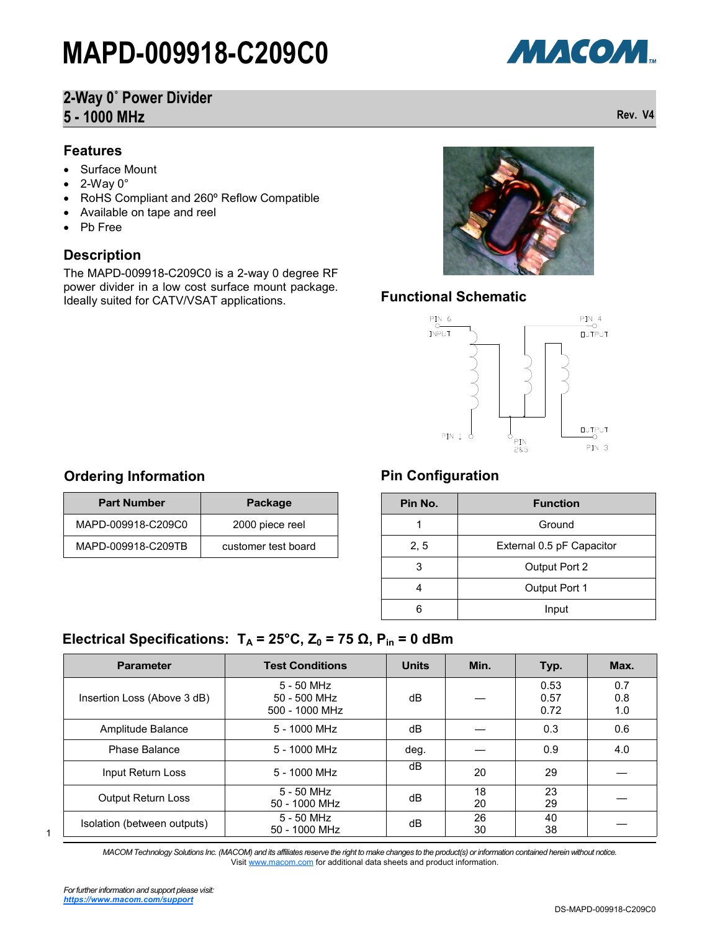# **2-Way 0˚ Power Divider 5 - 1000 MHz Rev. V4**

#### **Features**

- Surface Mount
- 2-Way 0°
- RoHS Compliant and 260º Reflow Compatible
- Available on tape and reel
- Pb Free

#### **Description**

The MAPD-009918-C209C0 is a 2-way 0 degree RF power divider in a low cost surface mount package. Ideally suited for CATV/VSAT applications.



#### **Functional Schematic**



#### **Ordering Information**

| <b>Part Number</b> | Package             |
|--------------------|---------------------|
| MAPD-009918-C209C0 | 2000 piece reel     |
| MAPD-009918-C209TB | customer test board |

### **Pin Configuration**

| Pin No. | <b>Function</b>           |
|---------|---------------------------|
|         | Ground                    |
| 2, 5    | External 0.5 pF Capacitor |
| 3       | Output Port 2             |
|         | Output Port 1             |
|         | Input                     |

### **Electrical Specifications:**  $T_A = 25^\circ \text{C}$ ,  $Z_0 = 75 \Omega$ ,  $P_{in} = 0 \text{ dBm}$

| <b>Parameter</b>            | <b>Test Conditions</b>                       | <b>Units</b> | Min.     | Typ.                 | Max.              |
|-----------------------------|----------------------------------------------|--------------|----------|----------------------|-------------------|
| Insertion Loss (Above 3 dB) | 5 - 50 MHz<br>50 - 500 MHz<br>500 - 1000 MHz | dB           |          | 0.53<br>0.57<br>0.72 | 0.7<br>0.8<br>1.0 |
| Amplitude Balance           | 5 - 1000 MHz                                 | dB           |          | 0.3                  | 0.6               |
| Phase Balance               | 5 - 1000 MHz                                 | deg.         |          | 0.9                  | 4.0               |
| Input Return Loss           | $5 - 1000$ MHz                               | dB           | 20       | 29                   |                   |
| <b>Output Return Loss</b>   | 5 - 50 MHz<br>50 - 1000 MHz                  | dB           | 18<br>20 | 23<br>29             |                   |
| Isolation (between outputs) | $5 - 50$ MHz<br>50 - 1000 MHz                | dB           | 26<br>30 | 40<br>38             |                   |

1

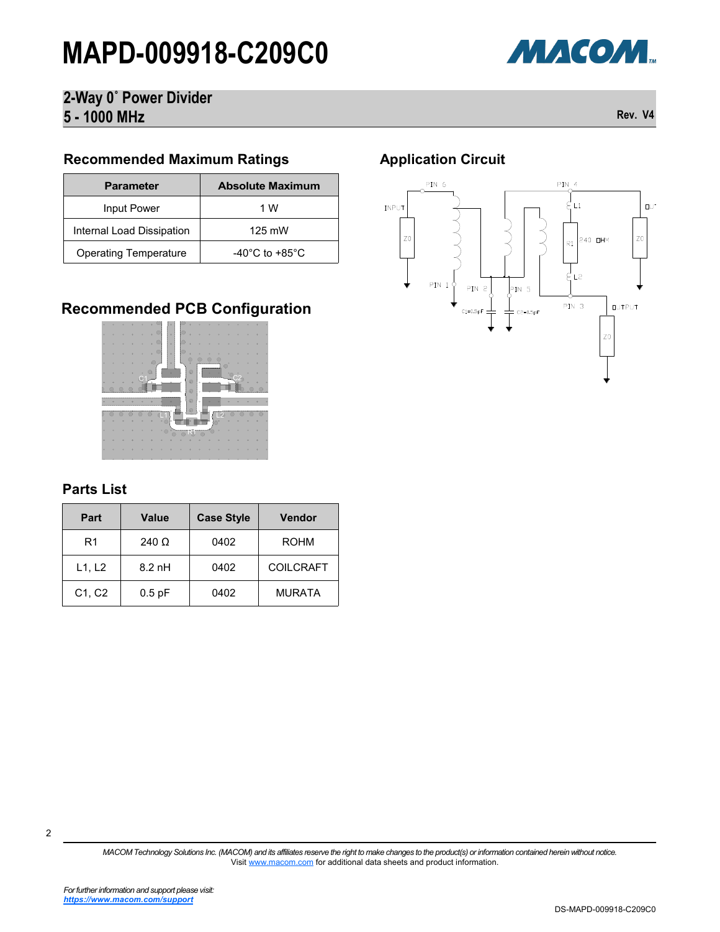

# **2-Way 0˚ Power Divider 5 - 1000 MHz Rev. V4**

#### **Recommended Maximum Ratings**

| <b>Parameter</b>             | <b>Absolute Maximum</b>            |
|------------------------------|------------------------------------|
| Input Power                  | 1 W                                |
| Internal Load Dissipation    | 125 mW                             |
| <b>Operating Temperature</b> | $-40^{\circ}$ C to $+85^{\circ}$ C |

# **Recommended PCB Configuration**



#### **Parts List**

| Part                            | <b>Value</b> | <b>Case Style</b> | <b>Vendor</b>    |
|---------------------------------|--------------|-------------------|------------------|
| R1                              | 240 $\Omega$ | 0402              | <b>ROHM</b>      |
| L1, L2                          | $8.2$ nH     | 0402              | <b>COILCRAFT</b> |
| C <sub>1</sub> , C <sub>2</sub> | $0.5$ pF     | 0402              | <b>MURATA</b>    |

# **Application Circuit**



2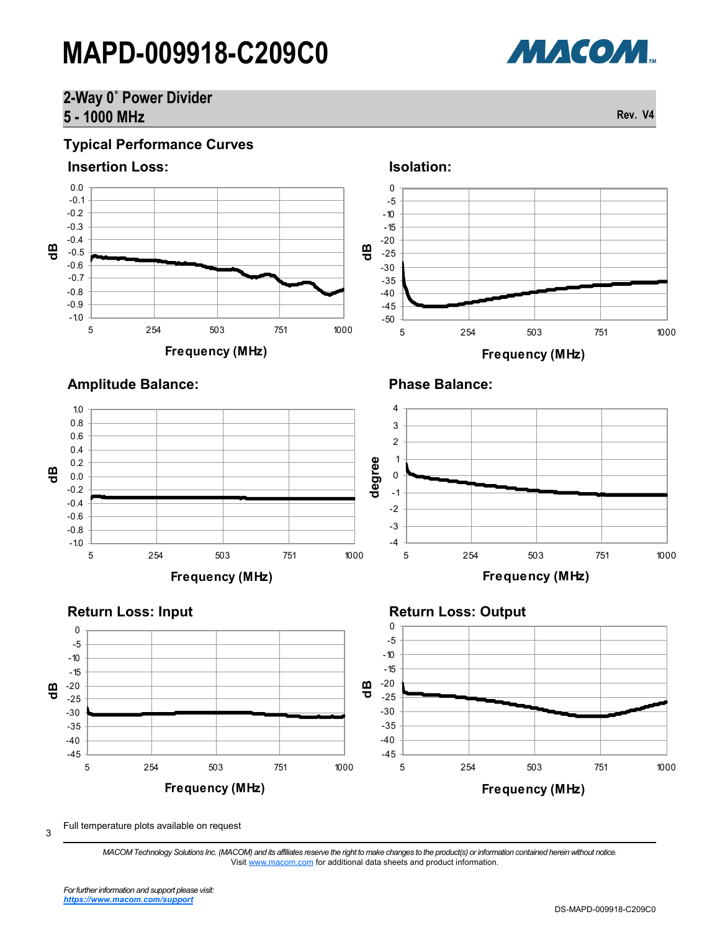# **2-Way 0˚ Power Divider 5 - 1000 MHz Rev. V4**



**Frequency (MHz)**

Full temperature plots available on request

3

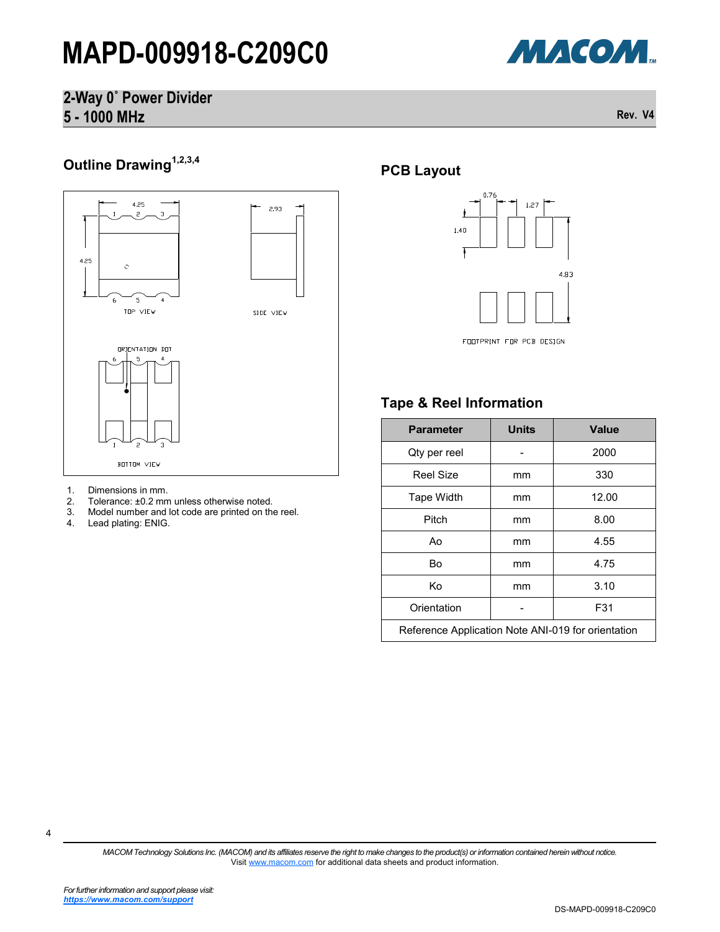

### **2-Way 0˚ Power Divider 5 - 1000 MHz Rev. V4**

# **Outline Drawing1,2,3,4**



# 1. Dimensions in mm.<br>2. Tolerance: ±0.2 mn

- 2. Tolerance: ±0.2 mm unless otherwise noted.
- 3. Model number and lot code are printed on the reel.<br>4. Lead plating: ENIG.
- Lead plating: ENIG.

### **PCB Layout**



#### FOOTPRINT FOR PCB DESIGN

### **Tape & Reel Information**

| <b>Parameter</b>                                   | <b>Units</b> | <b>Value</b> |
|----------------------------------------------------|--------------|--------------|
| Qty per reel                                       |              | 2000         |
| Reel Size                                          | mm           | 330          |
| Tape Width                                         | mm           | 12.00        |
| Pitch                                              | mm           | 8.00         |
| Ao                                                 | mm           | 4.55         |
| Bo                                                 | mm           | 4.75         |
| Κo                                                 | mm           | 3.10         |
| Orientation                                        |              | F31          |
| Reference Application Note ANI-019 for orientation |              |              |